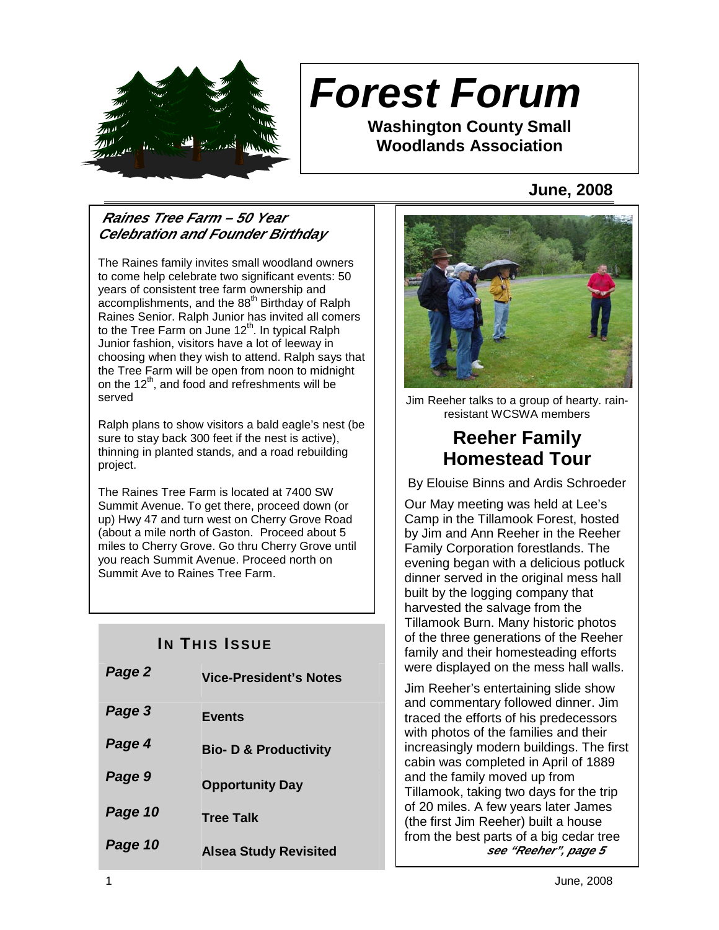

# **Forest Forum**

**Washington County Small Woodlands Association** 

## **June, 2008**

## **Raines Tree Farm – 50 Year Celebration and Founder Birthday**

The Raines family invites small woodland owners to come help celebrate two significant events: 50 years of consistent tree farm ownership and  $\alpha$ ccomplishments, and the 88<sup>th</sup> Birthday of Ralph Raines Senior. Ralph Junior has invited all comers to the Tree Farm on June  $12<sup>th</sup>$ . In typical Ralph Junior fashion, visitors have a lot of leeway in choosing when they wish to attend. Ralph says that the Tree Farm will be open from noon to midnight on the  $12<sup>th</sup>$ , and food and refreshments will be served

Ralph plans to show visitors a bald eagle's nest (be sure to stay back 300 feet if the nest is active), thinning in planted stands, and a road rebuilding project.

The Raines Tree Farm is located at 7400 SW Summit Avenue. To get there, proceed down (or up) Hwy 47 and turn west on Cherry Grove Road (about a mile north of Gaston. Proceed about 5 miles to Cherry Grove. Go thru Cherry Grove until you reach Summit Avenue. Proceed north on Summit Ave to Raines Tree Farm.

## **IN THIS ISSUE**

| Page 2  | <b>Vice-President's Notes</b>    |
|---------|----------------------------------|
| Page 3  | <b>Events</b>                    |
| Page 4  | <b>Bio- D &amp; Productivity</b> |
| Page 9  | <b>Opportunity Day</b>           |
| Page 10 | <b>Tree Talk</b>                 |
| Page 10 | <b>Alsea Study Revisited</b>     |



Jim Reeher talks to a group of hearty. rainresistant WCSWA members

# **Reeher Family Homestead Tour**

By Elouise Binns and Ardis Schroeder

Our May meeting was held at Lee's Camp in the Tillamook Forest, hosted by Jim and Ann Reeher in the Reeher Family Corporation forestlands. The evening began with a delicious potluck dinner served in the original mess hall built by the logging company that harvested the salvage from the Tillamook Burn. Many historic photos of the three generations of the Reeher family and their homesteading efforts were displayed on the mess hall walls.

Jim Reeher's entertaining slide show and commentary followed dinner. Jim traced the efforts of his predecessors with photos of the families and their increasingly modern buildings. The first cabin was completed in April of 1889 and the family moved up from Tillamook, taking two days for the trip of 20 miles. A few years later James (the first Jim Reeher) built a house from the best parts of a big cedar tree **see "Reeher", page 5**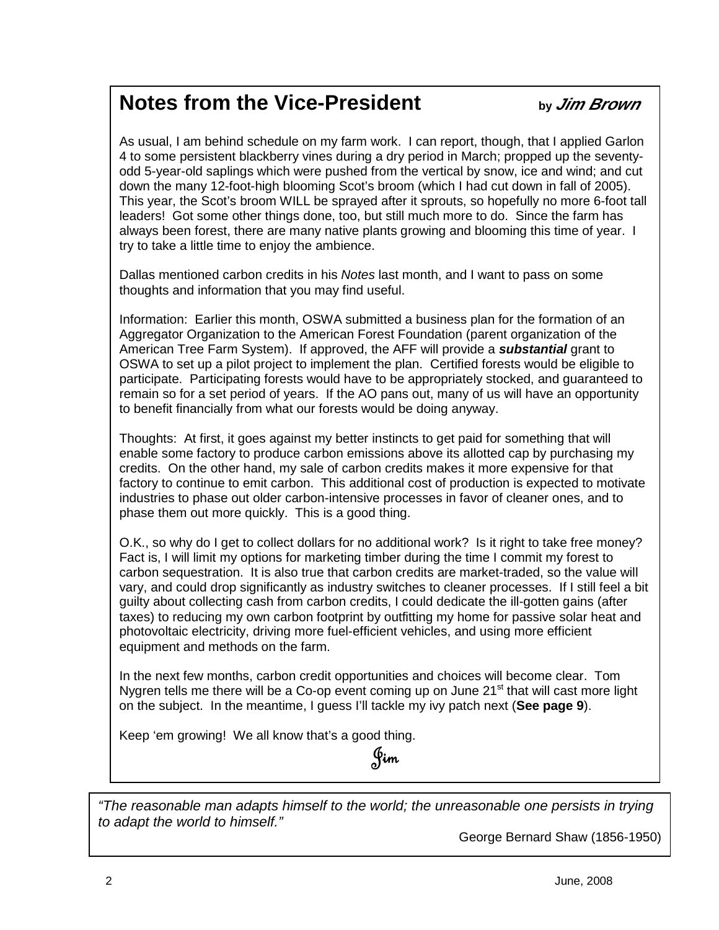# **Notes from the Vice-President by Jim Brown**

As usual, I am behind schedule on my farm work. I can report, though, that I applied Garlon 4 to some persistent blackberry vines during a dry period in March; propped up the seventyodd 5-year-old saplings which were pushed from the vertical by snow, ice and wind; and cut down the many 12-foot-high blooming Scot's broom (which I had cut down in fall of 2005). This year, the Scot's broom WILL be sprayed after it sprouts, so hopefully no more 6-foot tall leaders! Got some other things done, too, but still much more to do. Since the farm has always been forest, there are many native plants growing and blooming this time of year. I try to take a little time to enjoy the ambience.

Dallas mentioned carbon credits in his Notes last month, and I want to pass on some thoughts and information that you may find useful.

Information: Earlier this month, OSWA submitted a business plan for the formation of an Aggregator Organization to the American Forest Foundation (parent organization of the American Tree Farm System). If approved, the AFF will provide a **substantial** grant to OSWA to set up a pilot project to implement the plan. Certified forests would be eligible to participate. Participating forests would have to be appropriately stocked, and guaranteed to remain so for a set period of years. If the AO pans out, many of us will have an opportunity to benefit financially from what our forests would be doing anyway.

Thoughts: At first, it goes against my better instincts to get paid for something that will enable some factory to produce carbon emissions above its allotted cap by purchasing my credits. On the other hand, my sale of carbon credits makes it more expensive for that factory to continue to emit carbon. This additional cost of production is expected to motivate industries to phase out older carbon-intensive processes in favor of cleaner ones, and to phase them out more quickly. This is a good thing.

O.K., so why do I get to collect dollars for no additional work? Is it right to take free money? Fact is, I will limit my options for marketing timber during the time I commit my forest to carbon sequestration. It is also true that carbon credits are market-traded, so the value will vary, and could drop significantly as industry switches to cleaner processes. If I still feel a bit guilty about collecting cash from carbon credits, I could dedicate the ill-gotten gains (after taxes) to reducing my own carbon footprint by outfitting my home for passive solar heat and photovoltaic electricity, driving more fuel-efficient vehicles, and using more efficient equipment and methods on the farm.

In the next few months, carbon credit opportunities and choices will become clear. Tom Nygren tells me there will be a Co-op event coming up on June 21<sup>st</sup> that will cast more light on the subject. In the meantime, I guess I'll tackle my ivy patch next (**See page 9**).

Keep 'em growing! We all know that's a good thing.

Jim

"The reasonable man adapts himself to the world; the unreasonable one persists in trying to adapt the world to himself."

George Bernard Shaw (1856-1950)

 $\overline{a}$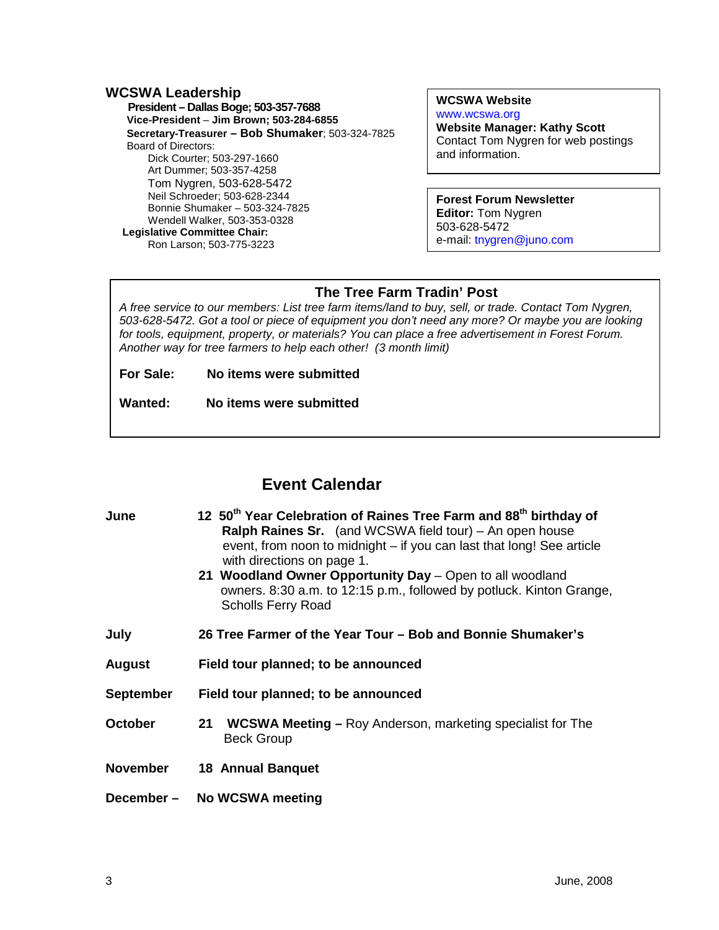#### **WCSWA Leadership**

 **President – Dallas Boge; 503-357-7688 Vice-President** – **Jim Brown; 503-284-6855 Secretary-Treasurer – Bob Shumaker**; 503-324-7825 Board of Directors: Dick Courter; 503-297-1660 Art Dummer; 503-357-4258 Tom Nygren, 503-628-5472 Neil Schroeder; 503-628-2344 Bonnie Shumaker – 503-324-7825 Wendell Walker, 503-353-0328  **Legislative Committee Chair:**  Ron Larson; 503-775-3223

**WCSWA Website** www.wcswa.org **Website Manager: Kathy Scott** Contact Tom Nygren for web postings and information.

#### **Forest Forum Newsletter Editor:** Tom Nygren 503-628-5472 e-mail: tnygren@juno.com

## **The Tree Farm Tradin' Post**

 for tools, equipment, property, or materials? You can place a free advertisement in Forest Forum. A free service to our members: List tree farm items/land to buy, sell, or trade. Contact Tom Nygren, 503-628-5472. Got a tool or piece of equipment you don't need any more? Or maybe you are looking Another way for tree farmers to help each other! (3 month limit)

**For Sale: No items were submitted**

**Wanted: No items were submitted**

## **Event Calendar**

| June             | 12 50 <sup>th</sup> Year Celebration of Raines Tree Farm and 88 <sup>th</sup> birthday of<br><b>Ralph Raines Sr.</b> (and WCSWA field tour) – An open house<br>event, from noon to midnight – if you can last that long! See article<br>with directions on page 1.<br>21 Woodland Owner Opportunity Day - Open to all woodland<br>owners. 8:30 a.m. to 12:15 p.m., followed by potluck. Kinton Grange,<br><b>Scholls Ferry Road</b> |  |  |  |  |
|------------------|-------------------------------------------------------------------------------------------------------------------------------------------------------------------------------------------------------------------------------------------------------------------------------------------------------------------------------------------------------------------------------------------------------------------------------------|--|--|--|--|
| July             | 26 Tree Farmer of the Year Tour – Bob and Bonnie Shumaker's                                                                                                                                                                                                                                                                                                                                                                         |  |  |  |  |
| <b>August</b>    | Field tour planned; to be announced                                                                                                                                                                                                                                                                                                                                                                                                 |  |  |  |  |
| <b>September</b> | Field tour planned; to be announced                                                                                                                                                                                                                                                                                                                                                                                                 |  |  |  |  |
| <b>October</b>   | <b>WCSWA Meeting – Roy Anderson, marketing specialist for The</b><br>21<br><b>Beck Group</b>                                                                                                                                                                                                                                                                                                                                        |  |  |  |  |
| <b>November</b>  | <b>18 Annual Banquet</b>                                                                                                                                                                                                                                                                                                                                                                                                            |  |  |  |  |
| December-        | <b>No WCSWA meeting</b>                                                                                                                                                                                                                                                                                                                                                                                                             |  |  |  |  |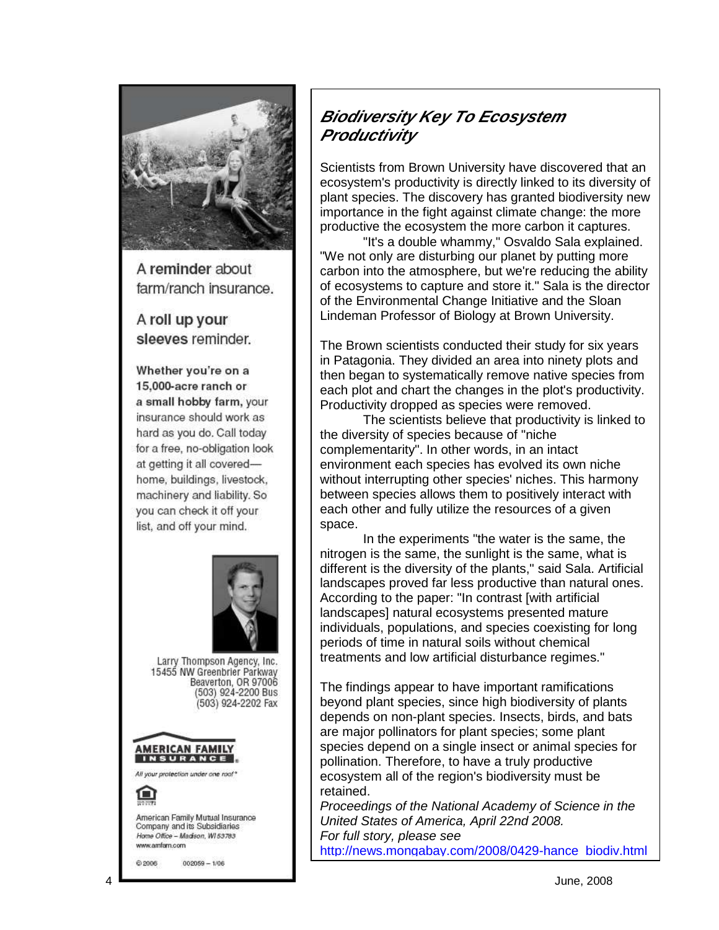

A reminder about farm/ranch insurance.

A roll up your sleeves reminder.

Whether you're on a 15,000-acre ranch or a small hobby farm, your insurance should work as hard as you do. Call today for a free, no-obligation look at getting it all coveredhome, buildings, livestock, machinery and liability. So you can check it off your list, and off your mind.



Larry Thompson Agency, Inc. 15455 NW Greenbrier Parkway Beaverton, OR 97006<br>(503) 924-2200 Bus (503) 924-2202 Fax





American Family Mutual Insurance Company and its Subsidiaries Home Office - Madison, WI 53783 www.amfam.com

 $002059 - 1/06$ @ 2006

## **Biodiversity Key To Ecosystem Productivity**

Scientists from Brown University have discovered that an ecosystem's productivity is directly linked to its diversity of plant species. The discovery has granted biodiversity new importance in the fight against climate change: the more productive the ecosystem the more carbon it captures.

 "It's a double whammy," Osvaldo Sala explained. "We not only are disturbing our planet by putting more carbon into the atmosphere, but we're reducing the ability of ecosystems to capture and store it." Sala is the director of the Environmental Change Initiative and the Sloan Lindeman Professor of Biology at Brown University.

The Brown scientists conducted their study for six years in Patagonia. They divided an area into ninety plots and then began to systematically remove native species from each plot and chart the changes in the plot's productivity. Productivity dropped as species were removed.

 The scientists believe that productivity is linked to the diversity of species because of "niche complementarity". In other words, in an intact environment each species has evolved its own niche without interrupting other species' niches. This harmony between species allows them to positively interact with each other and fully utilize the resources of a given space.

 In the experiments "the water is the same, the nitrogen is the same, the sunlight is the same, what is different is the diversity of the plants," said Sala. Artificial landscapes proved far less productive than natural ones. According to the paper: "In contrast [with artificial landscapes] natural ecosystems presented mature individuals, populations, and species coexisting for long periods of time in natural soils without chemical treatments and low artificial disturbance regimes."

The findings appear to have important ramifications beyond plant species, since high biodiversity of plants depends on non-plant species. Insects, birds, and bats are major pollinators for plant species; some plant species depend on a single insect or animal species for pollination. Therefore, to have a truly productive ecosystem all of the region's biodiversity must be retained.

Proceedings of the National Academy of Science in the United States of America, April 22nd 2008. For full story, please see http://news.mongabay.com/2008/0429 -hance\_biodiv.html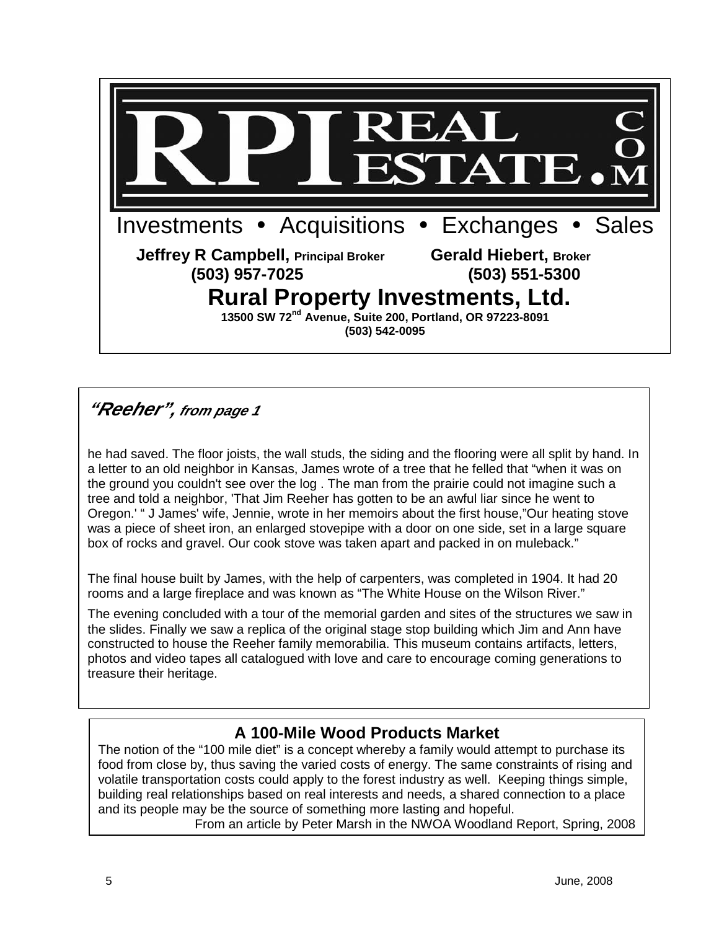

## **"Reeher", from page 1**

he had saved. The floor joists, the wall studs, the siding and the flooring were all split by hand. In a letter to an old neighbor in Kansas, James wrote of a tree that he felled that "when it was on the ground you couldn't see over the log . The man from the prairie could not imagine such a tree and told a neighbor, 'That Jim Reeher has gotten to be an awful liar since he went to Oregon.' " J James' wife, Jennie, wrote in her memoirs about the first house,"Our heating stove was a piece of sheet iron, an enlarged stovepipe with a door on one side, set in a large square box of rocks and gravel. Our cook stove was taken apart and packed in on muleback."

The final house built by James, with the help of carpenters, was completed in 1904. It had 20 rooms and a large fireplace and was known as "The White House on the Wilson River."

 photos and video tapes all catalogued with love and care to encourage coming generations to The evening concluded with a tour of the memorial garden and sites of the structures we saw in the slides. Finally we saw a replica of the original stage stop building which Jim and Ann have constructed to house the Reeher family memorabilia. This museum contains artifacts, letters, treasure their heritage.

## **A 100-Mile Wood Products Market**

The notion of the "100 mile diet" is a concept whereby a family would attempt to purchase its food from close by, thus saving the varied costs of energy. The same constraints of rising and volatile transportation costs could apply to the forest industry as well. Keeping things simple, building real relationships based on real interests and needs, a shared connection to a place and its people may be the source of something more lasting and hopeful.

From an article by Peter Marsh in the NWOA Woodland Report, Spring, 2008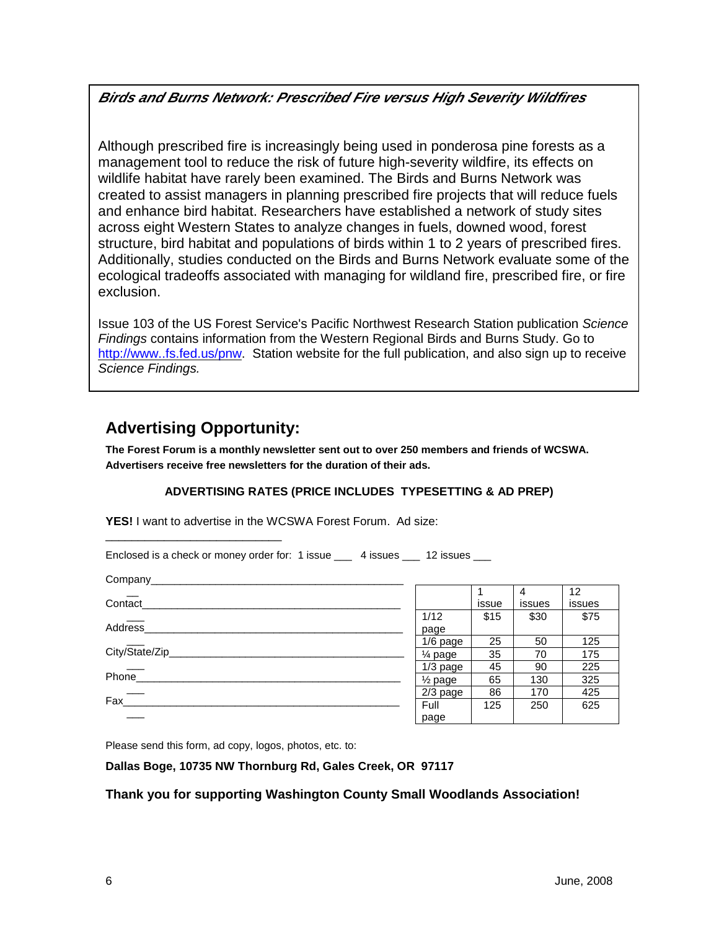## **Birds and Burns Network: Prescribed Fire versus High Severity Wildfires**

 Although prescribed fire is increasingly being used in ponderosa pine forests as a management tool to reduce the risk of future high-severity wildfire, its effects on wildlife habitat have rarely been examined. The Birds and Burns Network was created to assist managers in planning prescribed fire projects that will reduce fuels and enhance bird habitat. Researchers have established a network of study sites across eight Western States to analyze changes in fuels, downed wood, forest structure, bird habitat and populations of birds within 1 to 2 years of prescribed fires. Additionally, studies conducted on the Birds and Burns Network evaluate some of the ecological tradeoffs associated with managing for wildland fire, prescribed fire, or fire exclusion.

Issue 103 of the US Forest Service's Pacific Northwest Research Station publication Science Findings contains information from the Western Regional Birds and Burns Study. Go to http://www..fs.fed.us/pnw. Station website for the full publication, and also sign up to receive Science Findings.

## **Advertising Opportunity:**

**The Forest Forum is a monthly newsletter sent out to over 250 members and friends of WCSWA. Advertisers receive free newsletters for the duration of their ads.** 

### **ADVERTISING RATES (PRICE INCLUDES TYPESETTING & AD PREP)**

**YES!** I want to advertise in the WCSWA Forest Forum. Ad size: \_\_\_\_\_\_\_\_\_\_\_\_\_\_\_\_\_\_\_\_\_\_\_\_\_\_\_

Enclosed is a check or money order for: 1 issue \_\_\_ 4 issues \_\_\_ 12 issues \_\_\_

| Company_____    |                    |       |        |        |
|-----------------|--------------------|-------|--------|--------|
|                 |                    |       | 4      | 12     |
| Contact         |                    | issue | issues | issues |
|                 | 1/12               | \$15  | \$30   | \$75   |
| <b>Address</b>  | page               |       |        |        |
|                 | $1/6$ page         | 25    | 50     | 125    |
| City/State/Zip_ | $\frac{1}{4}$ page | 35    | 70     | 175    |
|                 | $1/3$ page         | 45    | 90     | 225    |
| Phone           | $\frac{1}{2}$ page | 65    | 130    | 325    |
|                 | $2/3$ page         | 86    | 170    | 425    |
| Fax             | Full               | 125   | 250    | 625    |
|                 | page               |       |        |        |

Please send this form, ad copy, logos, photos, etc. to:

#### **Dallas Boge, 10735 NW Thornburg Rd, Gales Creek, OR 97117**

#### **Thank you for supporting Washington County Small Woodlands Association!**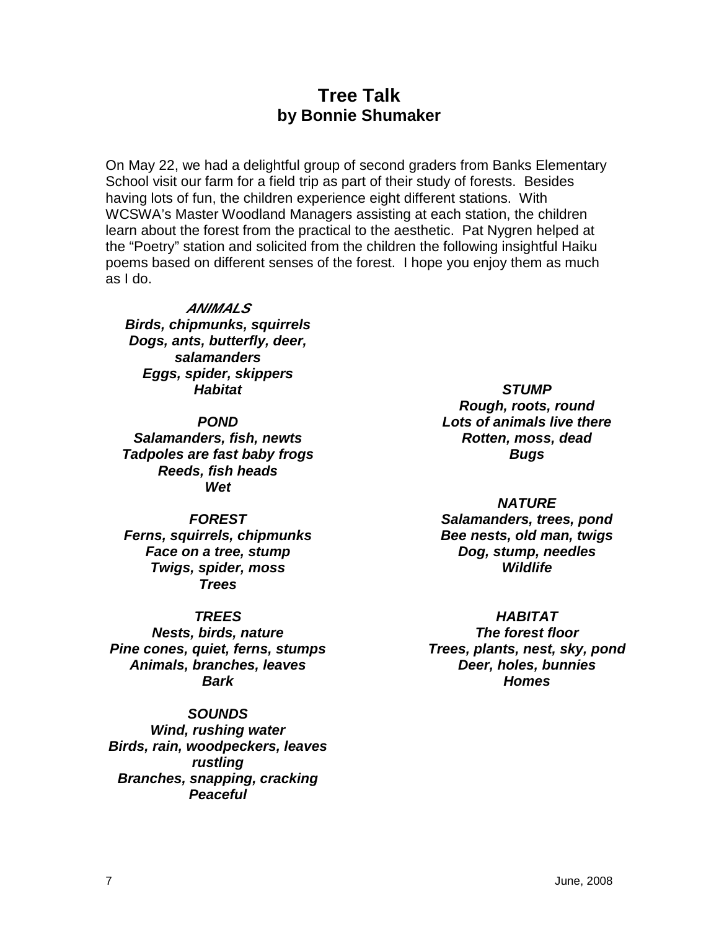## **Tree Talk by Bonnie Shumaker**

On May 22, we had a delightful group of second graders from Banks Elementary School visit our farm for a field trip as part of their study of forests. Besides having lots of fun, the children experience eight different stations. With WCSWA's Master Woodland Managers assisting at each station, the children learn about the forest from the practical to the aesthetic. Pat Nygren helped at the "Poetry" station and solicited from the children the following insightful Haiku poems based on different senses of the forest. I hope you enjoy them as much as I do.

#### **ANIMALS**

**Birds, chipmunks, squirrels Dogs, ants, butterfly, deer, salamanders Eggs, spider, skippers Habitat** 

**POND** 

**Salamanders, fish, newts Tadpoles are fast baby frogs Reeds, fish heads Wet** 

#### **FOREST**

**Ferns, squirrels, chipmunks Face on a tree, stump Twigs, spider, moss Trees** 

#### **TREES**

**Nests, birds, nature Pine cones, quiet, ferns, stumps Animals, branches, leaves Bark** 

## **SOUNDS**

**Wind, rushing water Birds, rain, woodpeckers, leaves rustling Branches, snapping, cracking Peaceful** 

**STUMP Rough, roots, round Lots of animals live there Rotten, moss, dead Bugs** 

**NATURE Salamanders, trees, pond Bee nests, old man, twigs Dog, stump, needles Wildlife** 

### **HABITAT**

**The forest floor Trees, plants, nest, sky, pond Deer, holes, bunnies Homes**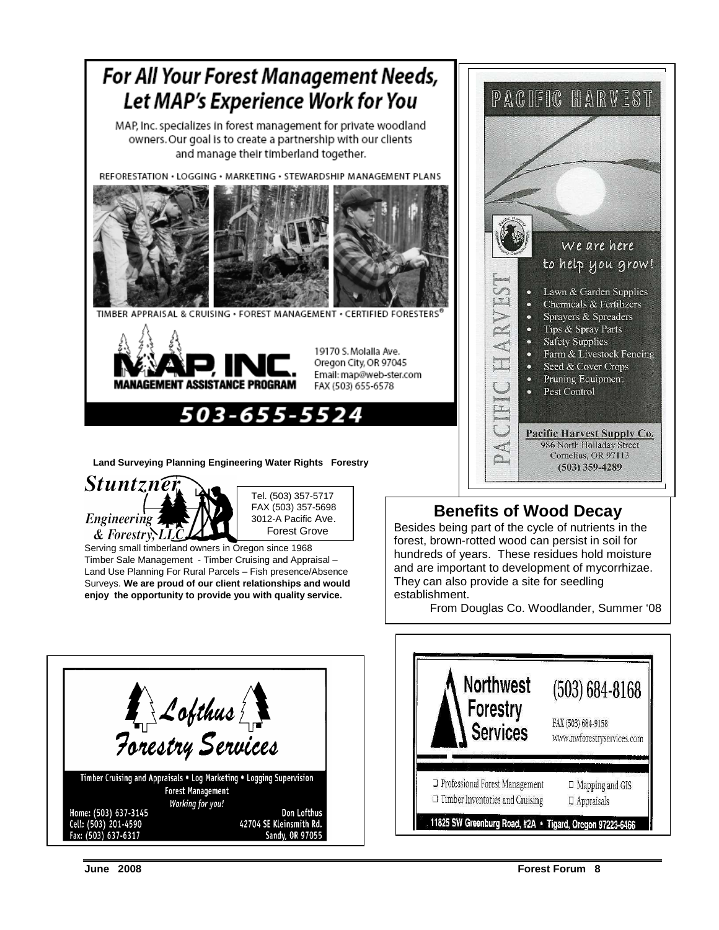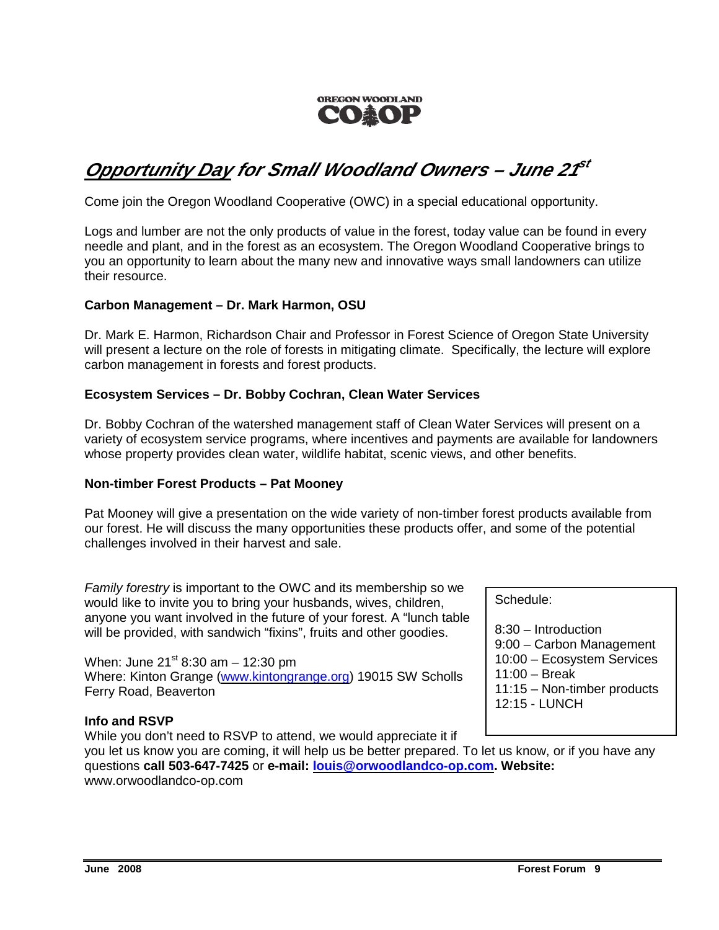

# **Opportunity Day for Small Woodland Owners – June 21 st**

Come join the Oregon Woodland Cooperative (OWC) in a special educational opportunity.

Logs and lumber are not the only products of value in the forest, today value can be found in every needle and plant, and in the forest as an ecosystem. The Oregon Woodland Cooperative brings to you an opportunity to learn about the many new and innovative ways small landowners can utilize their resource.

#### **Carbon Management – Dr. Mark Harmon, OSU**

Dr. Mark E. Harmon, Richardson Chair and Professor in Forest Science of Oregon State University will present a lecture on the role of forests in mitigating climate. Specifically, the lecture will explore carbon management in forests and forest products.

#### **Ecosystem Services – Dr. Bobby Cochran, Clean Water Services**

Dr. Bobby Cochran of the watershed management staff of Clean Water Services will present on a variety of ecosystem service programs, where incentives and payments are available for landowners whose property provides clean water, wildlife habitat, scenic views, and other benefits.

#### **Non-timber Forest Products – Pat Mooney**

Pat Mooney will give a presentation on the wide variety of non-timber forest products available from our forest. He will discuss the many opportunities these products offer, and some of the potential challenges involved in their harvest and sale.

Family forestry is important to the OWC and its membership so we would like to invite you to bring your husbands, wives, children, anyone you want involved in the future of your forest. A "lunch table will be provided, with sandwich "fixins", fruits and other goodies.

When: June  $21^{st}$  8:30 am  $-$  12:30 pm Where: Kinton Grange (www.kintongrange.org) 19015 SW Scholls Ferry Road, Beaverton

### **Info and RSVP**

While you don't need to RSVP to attend, we would appreciate it if

you let us know you are coming, it will help us be better prepared. To let us know, or if you have any questions **call 503-647-7425** or **e-mail: louis@orwoodlandco-op.com. Website:**  www.orwoodlandco-op.com

Schedule:

8:30 – Introduction 9:00 – Carbon Management 10:00 – Ecosystem Services 11:00 – Break 11:15 – Non-timber products 12:15 - LUNCH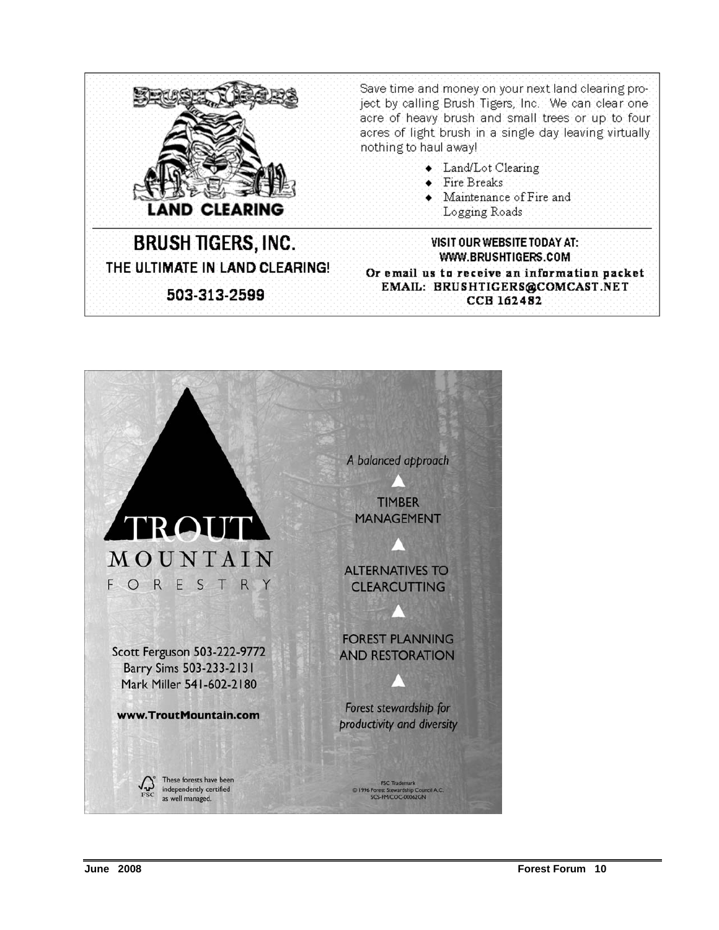

Save time and money on your next land clearing project by calling Brush Tigers, Inc. We can clear one acre of heavy brush and small trees or up to four acres of light brush in a single day leaving virtually nothing to haul away!

- $\bullet$  Land/Lot Clearing
- $\bullet$  Fire Breaks
- $\bullet$  Maintenance of Fire and Logging Roads

**BRUSH TIGERS, INC.** THE ULTIMATE IN LAND CLEARING! 503-313-2599

WWW.BRUSHTIGERS.COM Or email us to receive an information packet EMAIL: BRUSHTIGERS@COMCAST.NET **CCB 162482** 

VISIT OUR WEBSITE TODAY AT:

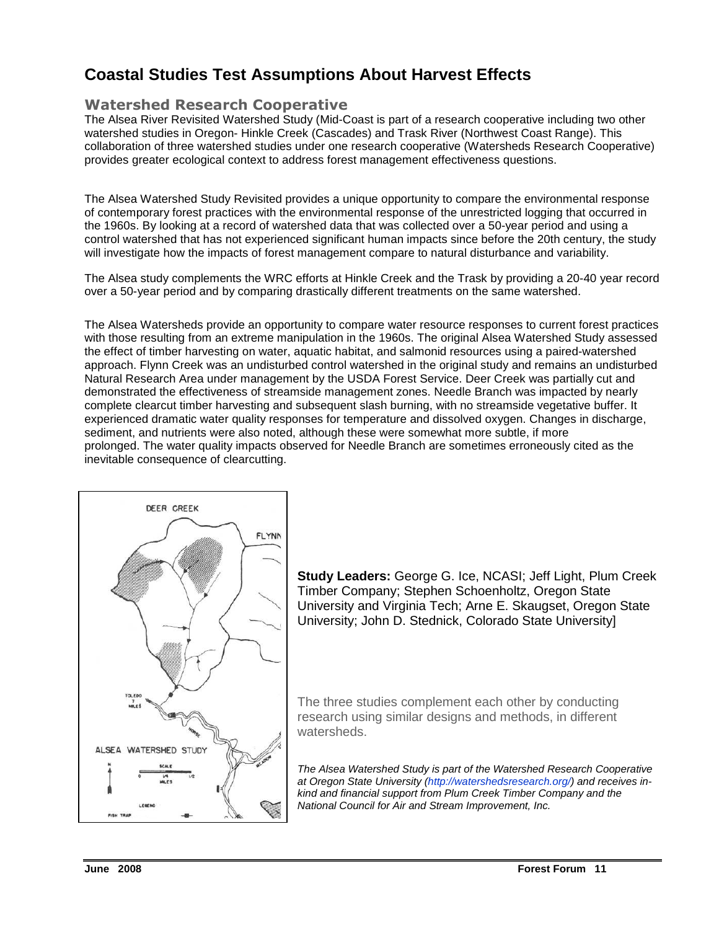## **Coastal Studies Test Assumptions About Harvest Effects**

## Watershed Research Cooperative

The Alsea River Revisited Watershed Study (Mid-Coast is part of a research cooperative including two other watershed studies in Oregon- Hinkle Creek (Cascades) and Trask River (Northwest Coast Range). This collaboration of three watershed studies under one research cooperative (Watersheds Research Cooperative) provides greater ecological context to address forest management effectiveness questions.

The Alsea Watershed Study Revisited provides a unique opportunity to compare the environmental response of contemporary forest practices with the environmental response of the unrestricted logging that occurred in the 1960s. By looking at a record of watershed data that was collected over a 50-year period and using a control watershed that has not experienced significant human impacts since before the 20th century, the study will investigate how the impacts of forest management compare to natural disturbance and variability.

The Alsea study complements the WRC efforts at Hinkle Creek and the Trask by providing a 20-40 year record over a 50-year period and by comparing drastically different treatments on the same watershed.

The Alsea Watersheds provide an opportunity to compare water resource responses to current forest practices with those resulting from an extreme manipulation in the 1960s. The original Alsea Watershed Study assessed the effect of timber harvesting on water, aquatic habitat, and salmonid resources using a paired-watershed approach. Flynn Creek was an undisturbed control watershed in the original study and remains an undisturbed Natural Research Area under management by the USDA Forest Service. Deer Creek was partially cut and demonstrated the effectiveness of streamside management zones. Needle Branch was impacted by nearly complete clearcut timber harvesting and subsequent slash burning, with no streamside vegetative buffer. It experienced dramatic water quality responses for temperature and dissolved oxygen. Changes in discharge, sediment, and nutrients were also noted, although these were somewhat more subtle, if more prolonged. The water quality impacts observed for Needle Branch are sometimes erroneously cited as the inevitable consequence of clearcutting.



**Study Leaders:** George G. Ice, NCASI; Jeff Light, Plum Creek Timber Company; Stephen Schoenholtz, Oregon State University and Virginia Tech; Arne E. Skaugset, Oregon State University; John D. Stednick, Colorado State University]

The three studies complement each other by conducting research using similar designs and methods, in different watersheds.

The Alsea Watershed Study is part of the Watershed Research Cooperative at Oregon State University (http://watershedsresearch.org/) and receives inkind and financial support from Plum Creek Timber Company and the National Council for Air and Stream Improvement, Inc.